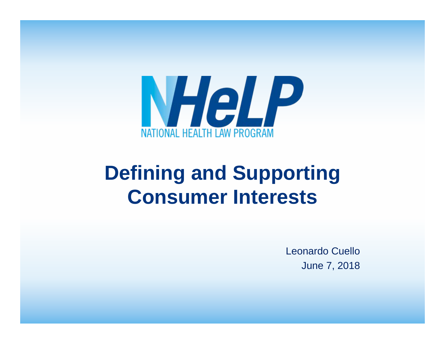

#### **Defining and Supporting Consumer Interests**

Leonardo CuelloJune 7, 2018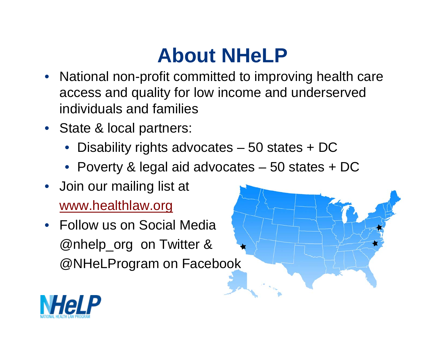# **About NHeLP**

- National non-profit committed to improving health care access and quality for low income and underserved individuals and families
- State & local partners:
	- Disability rights advocates 50 states + DC
	- Poverty & legal aid advocates 50 states + DC
- Join our mailing list at www.healthlaw.org
- Follow us on Social Media @nhelp\_org on Twitter & @NHeLProgram on Facebook

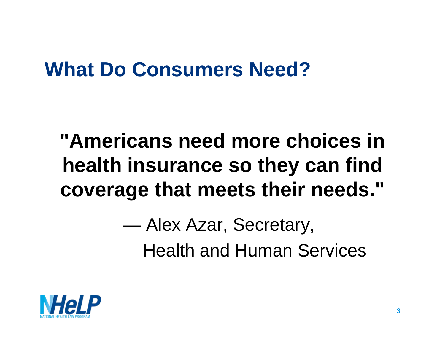### **What Do Consumers Need?**

# **"Americans need more choices in health insurance so they can find coverage that meets their needs."**

 $\sim$  Alex Azar, Secretary, Health and Human Services

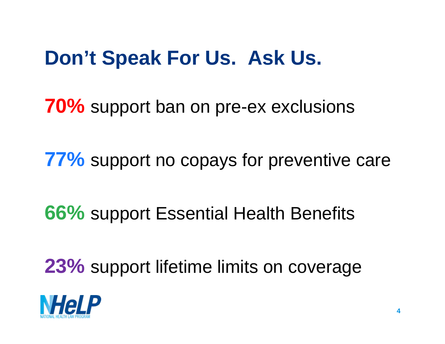## **Don't Speak For Us. Ask Us.**

**70%** support ban on pre-ex exclusions

**77%** support no copays for preventive care

#### **66%** support Essential Health Benefits

**23%** support lifetime limits on coverage

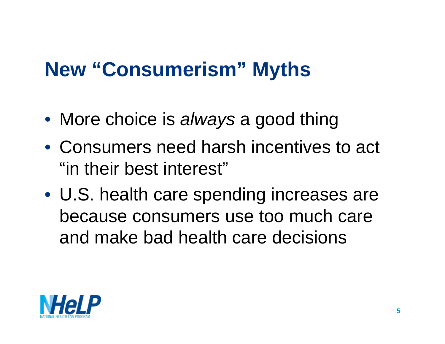# **New "Consumerism" Myths**

- More choice is *always* a good thing
- Consumers need harsh incentives to act "in their best interest"
- U.S. health care spending increases are because consumers use too much care and make bad health care decisions

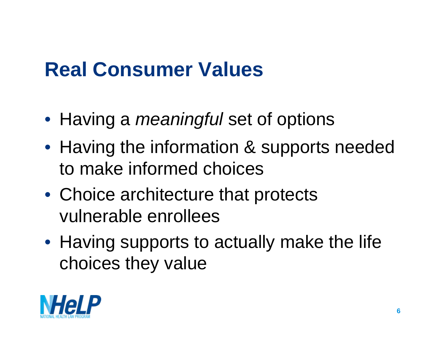# **Real Consumer Values**

- Having a *meaningful* set of options
- Having the information & supports needed to make informed choices
- Choice architecture that protects vulnerable enrollees
- Having supports to actually make the life choices they value

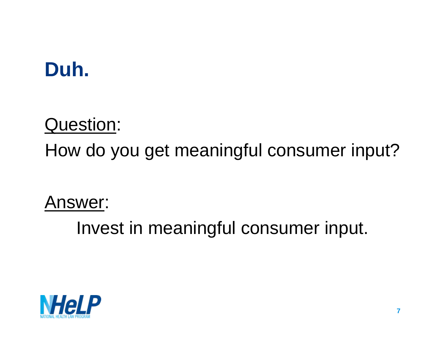# **Duh.**

#### Question:

How do you get meaningful consumer input?

Answer:

Invest in meaningful consumer input.

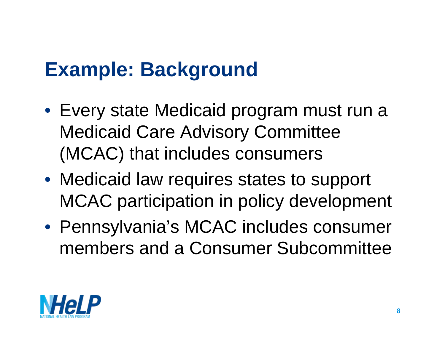#### **Example: Background**

- Every state Medicaid program must run a Medicaid Care Advisory Committee (MCAC) that includes consumers
- Medicaid law requires states to support MCAC participation in policy development
- Pennsylvania's MCAC includes consumer members and a Consumer Subcommittee

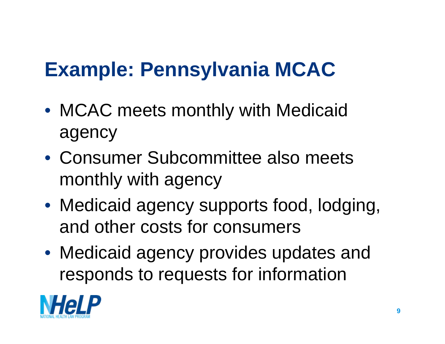# **Example: Pennsylvania MCAC**

- MCAC meets monthly with Medicaid agency
- Consumer Subcommittee also meets monthly with agency
- Medicaid agency supports food, lodging, and other costs for consumers
- Medicaid agency provides updates and responds to requests for information

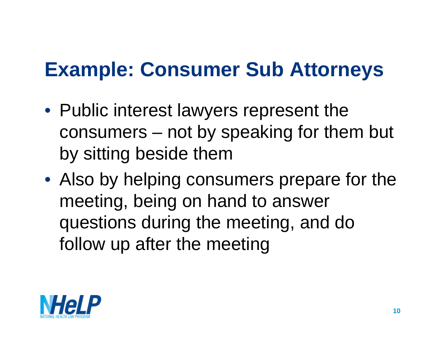### **Example: Consumer Sub Attorneys**

- Public interest lawyers represent the consumers – not by speaking for them but by sitting beside them
- Also by helping consumers prepare for the meeting, being on hand to answer questions during the meeting, and do follow up after the meeting

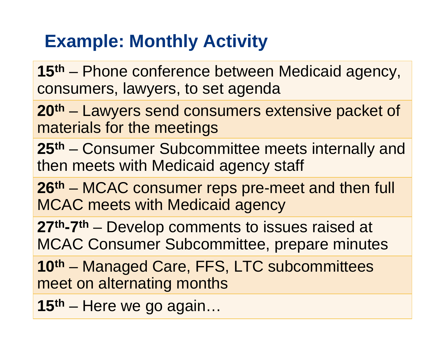#### **Example: Monthly Activity**

**15th** – Phone conference between Medicaid agency, consumers, lawyers, to set agenda

**20th** – Lawyers send consumers extensive packet of materials for the meetings

**25th** – Consumer Subcommittee meets internally and then meets with Medicaid agency staff

**26th** – MCAC consumer reps pre-meet and then full MCAC meets with Medicaid agency

**27th-7th** – Develop comments to issues raised at MCAC Consumer Subcommittee, prepare minutes

**10th** – Managed Care, FFS, LTC subcommittees meet on alternating months

**15th** – Here we go again…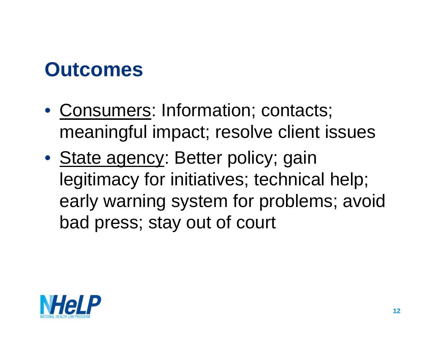#### **Outcomes**

- Consumers: Information; contacts; meaningful impact; resolve client issues
- State agency: Better policy; gain legitimacy for initiatives; technical help; early warning system for problems; avoid bad press; stay out of court